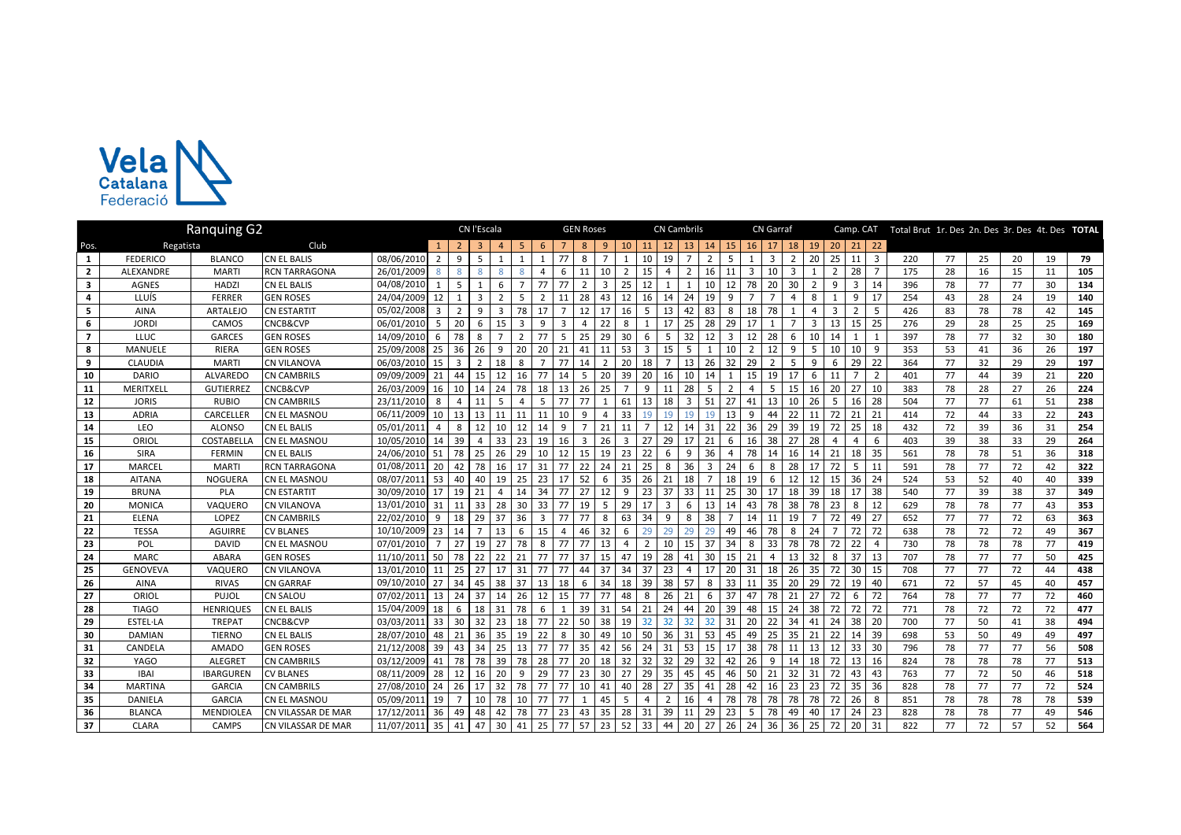

|                | <b>Ranquing G2</b> |                  |                      |               |                 |                | CN l'Escala    |                |                |                |              | <b>GEN Roses</b> |                | <b>CN Cambrils</b> |                |                |                |                |                | <b>CN Garraf</b> |                |    |    |    |    |                | Camp. CAT Total Brut 1r. Des 2n. Des 3r. Des 4t. Des TOTAL |    |    |    |    |     |
|----------------|--------------------|------------------|----------------------|---------------|-----------------|----------------|----------------|----------------|----------------|----------------|--------------|------------------|----------------|--------------------|----------------|----------------|----------------|----------------|----------------|------------------|----------------|----|----|----|----|----------------|------------------------------------------------------------|----|----|----|----|-----|
| Pos.           | Regatista          |                  | Club                 |               |                 |                |                |                |                |                |              |                  |                | 10                 | 11             |                | 13             |                | 15             | 16               |                | 18 | 19 | 20 | 21 | 22             |                                                            |    |    |    |    |     |
| $\mathbf{1}$   | <b>FEDERICO</b>    | <b>BLANCO</b>    | CN EL BALIS          | 08/06/2010    |                 | q              |                |                |                |                | 77           |                  |                |                    | 10             | 19             |                |                | 5              |                  | 3              |    | 20 | 25 | 11 | 3              | 220                                                        | 77 | 25 | 20 | 19 | 79  |
| $\overline{2}$ | <b>ALEXANDRE</b>   | <b>MARTI</b>     | <b>RCN TARRAGONA</b> | 26/01/2009    |                 |                |                |                |                |                |              | 11               | 10             |                    | 15             |                | $\overline{2}$ | 16             | 11             | 3                | 10             | 3  |    |    | 28 |                | 175                                                        | 28 | 16 | 15 | 11 | 105 |
| $\mathbf{3}$   | <b>AGNES</b>       | <b>HADZI</b>     | <b>CN EL BALIS</b>   | 04/08/2010    |                 | -5             |                | 6              |                | 77             | 77           | 2                |                | 25                 | 12             |                |                | 10             | 12             | 78               | 20             | 30 | 2  | 9  | 3  | 14             | 396                                                        | 78 | 77 | 77 | 30 | 134 |
| 4              | LLUÍS              | <b>FERRER</b>    | <b>GEN ROSES</b>     | 24/04/2009    | 12              |                | $\mathbf{a}$   | $\mathcal{P}$  | 5              | $\overline{2}$ | 11           | 28               | 43             | 12                 | 16             | 14             | 24             | 19             | 9              | $\overline{7}$   |                | 4  | 8  |    | 9  | 17             | 254                                                        | 43 | 28 | 24 | 19 | 140 |
| 5              | <b>AINA</b>        | ARTALEJO         | <b>CN ESTARTIT</b>   | 05/02/2008    | $\overline{3}$  | $\overline{2}$ | q              | 3              | 78             | 17             |              | 12               | 17             | 16                 | 5              | 13             | 42             | 83             | 8              | 18               | 78             |    | 4  |    |    | 5              | 426                                                        | 83 | 78 | 78 | 42 | 145 |
| 6              | <b>JORDI</b>       | CAMOS            | CNCB&CVP             | 06/01/2010    | - 5             | 20             | 6              | 15             | 3              | 9              | 3            |                  | 22             |                    |                | 17             | 25             | 28             | 29             | 17               |                |    | 3  | 13 | 15 | 25             | 276                                                        | 29 | 28 | 25 | 25 | 169 |
| $\overline{7}$ | <b>LLUC</b>        | <b>GARCES</b>    | <b>GEN ROSES</b>     | 14/09/2010    | - 6             | 78             | 8              | $\overline{7}$ | $\overline{2}$ | 77             | -5           | 25               | 29             | 30                 | 6              | 5              | 32             | 12             | $\overline{3}$ | 12               | 28             | 6  | 10 | 14 |    |                | 397                                                        | 78 | 77 | 32 | 30 | 180 |
| 8              | <b>MANUELE</b>     | RIERA            | <b>GEN ROSES</b>     | 25/09/2008 25 |                 | 36             | 26             | 9              | 20             | 20             | 21           | 41               | 11             | 53                 | 3              | 15             | 5              |                | 10             | $\overline{2}$   | 12             | 9  | 5  | 10 | 10 | 9              | 353                                                        | 53 | 41 | 36 | 26 | 197 |
| 9              | <b>CLAUDIA</b>     | <b>MARTI</b>     | <b>CN VILANOVA</b>   | 06/03/2010    | 15              | $\overline{3}$ | $\overline{2}$ | 18             | 8              | $\overline{7}$ | 77           | 14               | $\overline{2}$ | 20                 | 18             | $\overline{7}$ | 13             | 26             | 32             | 29               | $\overline{2}$ | 5  | 9  | 6  | 29 | 22             | 364                                                        | 77 | 32 | 29 | 29 | 197 |
| 10             | <b>DARIO</b>       | ALVAREDO         | <b>CN CAMBRILS</b>   | 09/09/2009    | 21              | 44             | 15             | 12             | 16             | 77             | 14           | 5                | 20             | 39                 | 20             | 16             | 10             | 14             |                | 15               | 19             | 17 | 6  | 11 |    | $\overline{2}$ | 401                                                        | 77 | 44 | 39 | 21 | 220 |
| 11             | MERITXELL          | <b>GUTIERREZ</b> | CNCB&CVP             | 26/03/2009    | 16              | 10             | 14             | 24             | 78             | 18             | 13           | 26               | 25             |                    | q              |                | 28             | 5              | $\overline{2}$ | 4                | 5              | 15 | 16 | 20 | 27 | 10             | 383                                                        | 78 | 28 | 27 | 26 | 224 |
| 12             | <b>JORIS</b>       | <b>RUBIO</b>     | <b>CN CAMBRILS</b>   | 23/11/2010    | 8               |                |                | .5             |                | 5              | 77           | 77               |                | 61                 | 13             | 18             | 3              | 51             | 27             | 41               | 13             | 10 | 26 |    | 16 | 28             | 504                                                        | 77 | 77 | 61 | 51 | 238 |
| 13             | <b>ADRIA</b>       | CARCELLER        | CN EL MASNOU         | 06/11/2009    | 10              | 13             | 13             | 11             | 11             | 11             | 10           | 9                |                | 33                 | 19             | 19             | 19             | 19             | 13             | 9                | 44             | 22 |    | 72 | 21 | 21             | 414                                                        | 72 | 44 | 33 | 22 | 243 |
| 14             | LEO                | <b>ALONSO</b>    | CN EL BALIS          | 05/01/2011    | Δ               | 8              | 12             | 10             | 12             | 14             | 9            | $\overline{7}$   | 21             | 11                 |                | 12             | 14             | 31             | 22             | 36               | 29             | 39 | 19 | 72 | 25 | 18             | 432                                                        | 72 | 39 | 36 | 31 | 254 |
| 15             | ORIOL              | COSTABELLA       | CN EL MASNOU         | 10/05/2010    | 14              | 39             |                | 33             | 23             | 19             | 16           | 3                | 26             | 3                  | 27             | 29             | 17             | 21             | 6              | 16               | 38             | 27 | 28 |    |    | 6              | 403                                                        | 39 | 38 | 33 | 29 | 264 |
| 16             | <b>SIRA</b>        | <b>FERMIN</b>    | CN EL BALIS          | 24/06/2010    | 51              | 78             | 25             | 26             | 29             | 10             | 12           | 15               | 19             | 23                 | 22             | 6              | 9              | 36             | $\overline{4}$ | 78               | 14             | 16 | 14 | 21 | 18 | 35             | 561                                                        | 78 | 78 | 51 | 36 | 318 |
| 17             | MARCEL             | <b>MARTI</b>     | RCN TARRAGONA        | 01/08/2011    | 20              | 42             | 78             | 16             | 17             | 31             | 77           | 22               | 24             | 21                 | 25             | 8              | 36             | 3              | 24             | 6                | 8              | 28 | 17 | 72 | 5  | 11             | 591                                                        | 78 | 77 | 72 | 42 | 322 |
| 18             | <b>AITANA</b>      | NOGUERA          | CN EL MASNOU         | 08/07/2011    | 53              | 40             | 40             | 19             | 25             | 23             | 17           | 52               | 6              | 35                 | 26             | 21             | 18             | $\overline{7}$ | 18             | 19               | 6              | 12 | 12 | 15 | 36 | 24             | 524                                                        | 53 | 52 | 40 | 40 | 339 |
| 19             | <b>BRUNA</b>       | <b>PLA</b>       | <b>CN ESTARTIT</b>   | 30/09/2010    | 17              | 19             | 21             | $\overline{4}$ | 14             | 34             | 77           | 27               | 12             | 9                  | 23             | 37             | 33             | 11             | 25             | 30               | 17             | 18 | 39 | 18 | 17 | 38             | 540                                                        | 77 | 39 | 38 | 37 | 349 |
| 20             | MONICA             | VAQUERO          | <b>CN VILANOVA</b>   | 13/01/2010    | 31              | 11             | 33             | 28             | 30             | 33             | 77           | 19               | 5              | 29                 | 17             | 3              | 6              | 13             | 14             | 43               | 78             | 38 | 78 | 23 | 8  | 12             | 629                                                        | 78 | 78 | 77 | 43 | 353 |
| 21             | <b>ELENA</b>       | <b>LOPEZ</b>     | <b>CN CAMBRILS</b>   | 22/02/2010    | 9               | 18             | 29             | 37             | 36             | 3              | 77           | 77               | 8              | 63                 | 34             | 9              | 8              | 38             |                | 14               | 11             | 19 |    | 72 | 49 | 27             | 652                                                        | 77 | 77 | 72 | 63 | 363 |
| 22             | <b>TESSA</b>       | <b>AGUIRRE</b>   | <b>CV BLANES</b>     | 10/10/2009    | 23              | 14             |                | 13             | 6              | 15             |              | 46               | 32             | 6                  | 29             | 29             | 29             | 29             | 49             | 46               | 78             | 8  | 24 |    | 72 | 72             | 638                                                        | 78 | 72 | 72 | 49 | 367 |
| 23             | POL                | <b>DAVID</b>     | CN EL MASNOU         | 07/01/2010    |                 | 27             | 19             | 27             | 78             | 8              | 77           | 77               | 13             |                    | $\mathcal{P}$  | 10             | 15             | 37             | 34             | 8                | 33             | 78 | 78 | 72 | 22 |                | 730                                                        | 78 | 78 | 78 | 77 | 419 |
| 24             | <b>MARC</b>        | <b>ABARA</b>     | <b>GEN ROSES</b>     | 11/10/2011    | 50              | 78             | 22             | 22             | 21             | 77             | 77           | 37               | 15             | 47                 | 19             | 28             | 41             | 30             | 15             | 21               | $\overline{4}$ | 13 | 32 | 8  | 37 | 13             | 707                                                        | 78 | 77 | 77 | 50 | 425 |
| 25             | <b>GENOVEVA</b>    | VAQUERO          | <b>CN VILANOVA</b>   | 13/01/2010    | 11              | 25             | 27             | 17             | 31             | 77             | 77           | 44               | 37             | 34                 | 37             | 23             | $\overline{4}$ | 17             | 20             | 31               | 18             | 26 | 35 | 72 | 30 | 15             | 708                                                        | 77 | 77 | 72 | 44 | 438 |
| 26             | <b>AINA</b>        | <b>RIVAS</b>     | <b>CN GARRAF</b>     | 09/10/2010    | 27              | 34             | 45             | 38             | 37             | 13             | 18           | 6                | 34             | 18                 | 39             | 38             | 57             | 8              | 33             | 11               | 35             | 20 | 29 | 72 | 19 | 40             | 671                                                        | 72 | 57 | 45 | 40 | 457 |
| 27             | ORIOL              | PUJOL            | <b>CN SALOU</b>      | 07/02/2011    | 13              | 24             | 37             | 14             | 26             | 12             | 15           | 77               | 77             | 48                 | 8              | 26             | 21             | 6              | 37             | 47               | 78             | 21 | 27 | 72 | 6  | 72             | 764                                                        | 78 | 77 | 77 | 72 | 460 |
| 28             | <b>TIAGO</b>       | <b>HENRIQUES</b> | <b>CN EL BALIS</b>   | 15/04/2009    | 18              | -6             | 18             | 31             | 78             | 6              | $\mathbf{1}$ | 39               | 31             | 54                 | 21             | 24             | 44             | 20             | 39             | 48               | 15             | 24 | 38 | 72 | 72 | 72             | 771                                                        | 78 | 72 | 72 | 72 | 477 |
| 29             | <b>ESTEL-LA</b>    | <b>TREPAT</b>    | CNCB&CVP             | 03/03/2011    | 33 <sup>1</sup> | 30             | 32             | 23             | 18             | 77             | 22           | 50               | 38             | 19                 | 32             | 32             | 32             | 32             | 31             | 20               | 22             | 34 | 41 | 24 | 38 | 20             | 700                                                        | 77 | 50 | 41 | 38 | 494 |
| 30             | <b>DAMIAN</b>      | <b>TIERNO</b>    | CN EL BALIS          | 28/07/2010    | 48              | 21             | 36             | 35             | 19             | 22             | 8            | 30               | 49             | 10                 | 50             | 36             | 31             | 53             | 45             | 49               | 25             | 35 | 21 | 22 | 14 | 39             | 698                                                        | 53 | 50 | 49 | 49 | 497 |
| 31             | CANDELA            | <b>AMADO</b>     | <b>GEN ROSES</b>     | 21/12/2008    | 39              | 43             | 34             | 25             | 13             | 77             | 77           | 35               | 42             | 56                 | 24             | 31             | 53             | 15             | 17             | 38               | 78             | 11 | 13 | 12 | 33 | 30             | 796                                                        | 78 | 77 | 77 | 56 | 508 |
| 32             | <b>YAGO</b>        | <b>ALEGRET</b>   | <b>CN CAMBRILS</b>   | 03/12/2009    | 41              | 78             | 78             | 39             | 78             | 28             | 77           | 20               | 18             | 32                 | 32             | 32             | 29             | 32             | 42             | 26               | q              | 14 | 18 | 72 | 13 | 16             | 824                                                        | 78 | 78 | 78 | 77 | 513 |
| 33             | <b>IBAI</b>        | <b>IBARGUREN</b> | <b>CV BLANES</b>     | 08/11/2009    | 28              | 12             | 16             | 20             | 9              | 29             | 77           | 23               | 30             | 27                 | 29             | 35             | 45             | 45             | 46             | 50               | 21             | 32 | 31 | 72 | 43 | 43             | 763                                                        | 77 | 72 | 50 | 46 | 518 |
| 34             | <b>MARTINA</b>     | <b>GARCIA</b>    | <b>CN CAMBRILS</b>   | 27/08/2010    | 24              | 26             | 17             | 32             | 78             | 77             | 77           | 10               | 41             | 40                 | 28             | 27             | 35             | 41             | 28             | 42               | 16             | 23 | 23 | 72 | 35 | 36             | 828                                                        | 78 | 77 | 77 | 72 | 524 |
| 35             | <b>DANIELA</b>     | <b>GARCIA</b>    | CN EL MASNOU         | 05/09/2011    | 19              | $\overline{7}$ | 10             | 78             | 10             | 77             | 77           | $\mathbf{1}$     | 45             | -5                 | $\overline{4}$ | 2              | 16             | $\overline{4}$ | 78             | 78               | 78             | 78 | 78 | 72 | 26 | 8              | 851                                                        | 78 | 78 | 78 | 78 | 539 |
| 36             | <b>BLANCA</b>      | MENDIOLEA        | CN VILASSAR DE MAR   | 17/12/2011    | 36              | 49             | 48             | 42             | 78             | 77             | 23           | 43               | 35             | 28                 | 31             | 39             | 11             | 29             | 23             | -5               | 78             | 49 | 40 | 17 | 24 | 23             | 828                                                        | 78 | 78 | 77 | 49 | 546 |
| 37             | <b>CLARA</b>       | <b>CAMPS</b>     | CN VILASSAR DE MAR   | 11/07/2011    | 35              | 41             | 47             | 30             | 41             | 25             | 77           | 57               | 23             | 52                 | 33             | 44             | 20             | 27             | 26             | 24               | 36             | 36 | 25 | 72 | 20 | 31             | 822                                                        | 77 | 72 | 57 | 52 | 564 |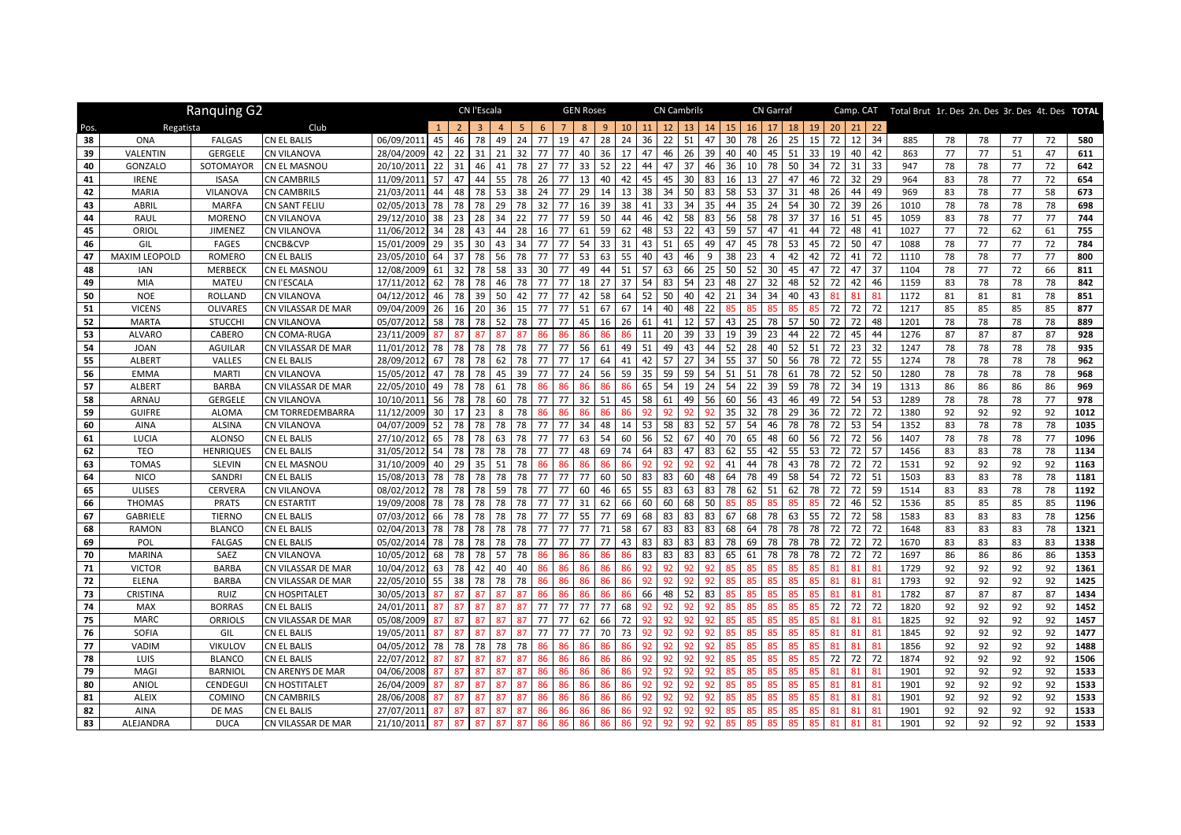|          | Ranquing G2          |                       |                                   |                          |          | <b>GEN Roses</b> |          | <b>CN Cambrils</b> |                |          |          |          |              |          | <b>CN Garraf</b> |          |          |          |          |          | Camp. CAT Total Brut 1r. Des 2n. Des 3r. Des 4t. Des TOTAL |          |          |          |                   |          |              |          |          |          |          |              |
|----------|----------------------|-----------------------|-----------------------------------|--------------------------|----------|------------------|----------|--------------------|----------------|----------|----------|----------|--------------|----------|------------------|----------|----------|----------|----------|----------|------------------------------------------------------------|----------|----------|----------|-------------------|----------|--------------|----------|----------|----------|----------|--------------|
| Pos.     | Regatista            |                       | Club                              |                          |          |                  |          |                    | 5 <sup>1</sup> | 6        |          |          | $\mathbf{q}$ | 10       | 11               | 12       | 13       | 14       | 15       | 16       | 17                                                         | 18       | 19       | 20       | 21                | 22       |              |          |          |          |          |              |
| 38       | <b>ONA</b>           | <b>FALGAS</b>         | CN EL BALIS                       | 06/09/2011               | 45       | 46               | 78       | 49                 | 24             | 77       | 19       | 47       | 28           | 24       | 36               | 22       | 51       | 47       | 30       | 78       | 26                                                         | 25       | 15       | 72       | $12 \overline{ }$ | 34       | 885          | 78       | 78       | 77       | 72       | 580          |
| 39       | VALENTIN             | <b>GERGELE</b>        | <b>CN VILANOVA</b>                | 28/04/2009               | 42       | 22               | 31       | 21                 | 32             | 77       | 77       | 40       | 36           | 17       | 47               | 46       | 26       | 39       | 40       | 40       | 45                                                         | 51       | 33       | 19       | 40                | 42       | 863          | 77       | 77       | 51       | 47       | 611          |
| 40       | GONZALO              | SOTOMAYOR             | <b>CN EL MASNOU</b>               | 20/10/201                | 22       | 31               | 46       | 41                 | 78             | 27       | 77       | 33       | 52           | 22       | 44               | 47       | 37       | 46       | 36       | 10       | 78                                                         | 50       | 34       | 72       | 31                | 33       | 947          | 78       | 78       | 77       | 72       | 642          |
| 41       | <b>IRENE</b>         | <b>ISASA</b>          | <b>CN CAMBRILS</b>                | 11/09/2011               | 57       | 47               | 44       | 55                 | 78             | 26       | 77       | 13       | 40           | 42       | 45               | 45       | 30       | 83       | 16       | 13       | 27                                                         | 47       | 46       | 72       | 32                | 29       | 964          | 83       | 78       | 77       | 72       | 654          |
| 42       | <b>MARIA</b>         | VILANOVA              | <b>CN CAMBRILS</b>                | 21/03/2011               | 44       | 48               | 78       | 53                 | 38             | 24       | 77       | 29       | 14           | 13       | 38               | 34       | 50       | 83       | 58       | 53       | 37                                                         | 31       | 48       | 26       | 44                | 49       | 969          | 83       | 78       | 77       | 58       | 673          |
| 43       | ABRIL                | <b>MARFA</b>          | <b>CN SANT FELIU</b>              | 02/05/2013               | 78       | 78               | 78       | 29                 | 78             | 32       | 77       | 16       | 39           | 38       | 41               | 33       | 34       | 35       | 44       | 35       | 24                                                         | 54       | 30       | 72       | 39                | 26       | 1010         | 78       | 78       | 78       | 78       | 698          |
| 44       | RAUL                 | <b>MORENO</b>         | <b>CN VILANOVA</b>                | 29/12/2010               | 38       | 23               | 28       | 34                 | 22             | 77       | 77       | 59       | 50           | 44       | 46               | 42       | 58       | 83       | 56       | 58       | 78                                                         | 37       | 37       | 16       | 51                | 45       | 1059         | 83       | 78       | 77       | 77       | 744          |
| 45       | ORIOL                | JIMENEZ               | CN VILANOVA                       | 11/06/2012               | 34       | 28               | 43       | 44                 | 28             | 16       | 77       | 61       | 59           | 62       | 48               | 53       | 22       | 43       | 59       | 57       | 47                                                         | 41       | 44       | 72       | 48                | 41       | 1027         | 77       | 72       | 62       | 61       | 755          |
| 46       | GIL                  | <b>FAGES</b>          | CNCB&CVP                          | 15/01/2009               | 29       | 35               | 30       | 43                 | 34             | 77       | 77       | 54       | 33           | 31       | 43               | 51       | 65       | 49       | 47       | 45       | 78                                                         | 53       | 45       | 72       | 50                | 47       | 1088         | 78       | 77       | 77       | 72       | 784          |
| 47       | <b>MAXIM LEOPOLD</b> | ROMERO                | CN EL BALIS                       | 23/05/2010               | 64       | 37               | 78       | 56                 | 78             | 77       | 77       | 53       | 63           | 55       | 40               | 43       | 46       | 9        | 38       | 23       |                                                            | 42       | 42       | 72       | 41                | 72       | 1110         | 78       | 78       | 77       | 77       | 800          |
| 48       | IAN                  | <b>MERBECK</b>        | CN EL MASNOU                      | 12/08/2009               | 61       | 32               | 78       | 58                 | 33             | 30       | 77       | 49       | 44           | 51       | 57               | 63       | 66       | 25       | 50       | 52       | 30                                                         | 45       | 47       | 72       | 47                | 37       | 1104         | 78       | 77       | 72       | 66       | 811          |
| 49       | MIA                  | <b>MATEU</b>          | CN l'ESCALA                       | 17/11/2012               | 62       | 78               | 78       | 46                 | 78             | 77       | 77       | 18       | 27           | 37       | 54               | 83       | 54       | 23       | 48       | 27       | 32                                                         | 48       | 52       | 72       | 42                | 46       | 1159         | 83       | 78       | 78       | 78       | 842          |
| 50       | <b>NOE</b>           | <b>ROLLAND</b>        | <b>CN VILANOVA</b>                | 04/12/2012               | 46       | 78               | 39       | 50                 | 42             | 77       | 77       | 42       | 58           | 64       | 52               | 50       | 40       | 42       | 21       | 34       | 34                                                         | 40       | 43       | 81       | 81                | 81       | 1172         | 81       | 81       | 81       | 78       | 851          |
| 51       | <b>VICENS</b>        | <b>OLIVARES</b>       | CN VILASSAR DE MAR                | 09/04/2009               | 26       | 16               | 20       | 36                 | 15             | 77       | 77       | 51       | 67           | 67       | 14               | 40       | 48       | 22       | 85       | 85       | 85                                                         | 85       | 85       | 72       | 72                | 72       | 1217         | 85       | 85       | 85       | 85       | 877          |
| 52       | <b>MARTA</b>         | <b>STUCCHI</b>        | <b>CN VILANOVA</b>                | 05/07/2012               | 58       | 78               | 78       | 52                 | 78             | 77       | 77       | 45       | 16           | 26       | 61               | 41       | 12       | 57       | 43       | 25       | 78                                                         | 57       | 50       | 72       | 72                | 48       | 1201         | 78       | 78       | 78       | 78       | 889          |
| 53       | <b>ALVARO</b>        | <b>CABERO</b>         | <b>CN COMA-RUGA</b>               | 23/11/2009               | 87       | 87               | 87       | 87                 | 87             |          | 86       | 86       | 86           | 86       | 11               | 20       | 39       | 33       | 19       | 39       | 23                                                         | 44       | 22       | 72       | 45                | 44       | 1276         | 87       | 87       | 87       | 87       | 928          |
| 54       | <b>JOAN</b>          | <b>AGUILAR</b>        | CN VILASSAR DE MAR                | 11/01/2012               | 78       | 78               | 78       | 78                 | 78             | 77       | 77       | 56       | 61           | 49       | 51               | 49       | 43       | 44       | 52       | 28       | 40                                                         | 52       | 51       | 72       | 23                | 32       | 1247         | 78       | 78       | 78       | 78       | 935          |
| 55       | <b>ALBERT</b>        | VALLES                | CN EL BALIS                       | 28/09/2012               | 67       | 78               | 78       | 62                 | 78             | 77       | 77       | 17       | 64           | 41       | 42               | 57       | 27       | 34       | 55       | 37       | 50                                                         | 56       | 78       | 72       | 72                | 55       | 1274         | 78       | 78       | 78       | 78       | 962          |
| 56       | <b>EMMA</b>          | <b>MARTI</b>          | <b>CN VILANOVA</b>                | 15/05/2012               | 47       | 78               | 78       | 45                 | 39             | 77       | 77       | 24       | 56           | 59       | 35               | 59       | 59       | 54       | 51       | 51       | 78                                                         | 61       | 78       | 72       | 52                | 50       | 1280         | 78       | 78       | 78       | 78       | 968          |
| 57       | <b>ALBERT</b>        | <b>BARBA</b>          | CN VILASSAR DE MAR                | 22/05/2010               | 49       | 78               | 78       | 61                 | 78             |          | 86       | 86       | 86           | 86       | 65               | 54       | 19       | 24       | 54       | 22       | 39                                                         | 59       | 78       | 72       | 34                | 19       | 1313         | 86       | 86       | 86       | 86       | 969          |
| 58       | ARNAU                | <b>GERGELE</b>        | <b>CN VILANOVA</b>                | 10/10/201                | 56       | 78               | 78       | 60                 | 78             | 77       | 77       | 32       | 51           | 45       | 58               | 61       | 49       | 56       | 60       | 56       | 43                                                         | 46       | 49       | 72       | 54                | 53       | 1289         | 78       | 78       | 78       | 77       | 978          |
| 59       | <b>GUIFRE</b>        | <b>ALOMA</b>          | CM TORREDEMBARRA                  | 11/12/2009               | 30       | 17               | 23       | 8                  | 78             |          |          | 86       | 86           | 86       | 92               | 92       |          |          | 35       | 32       | 78                                                         | 29       | 36       | 72       | 72                | 72       | 1380         | 92       | 92       | 92       | 92       | 1012         |
| 60       | <b>AINA</b>          | <b>ALSINA</b>         | <b>CN VILANOVA</b>                | 04/07/2009               | 52       | 78               | 78       | 78                 | 78             | 77       | 77       | 34       | 48           | 14       | 53               | 58       | 83       | 52       | 57       | 54       | 46                                                         | 78       | 78       | 72       | 53                | 54       | 1352         | 83       | 78       | 78       | 78       | 1035         |
| 61       | LUCIA                | <b>ALONSO</b>         | <b>CN EL BALIS</b>                | 27/10/2012               | 65       | 78               | 78       | 63                 | 78             | 77       | 77       | 63       | 54           | 60       | 56               | 52       | 67       | 40       | 70       | 65       | 48                                                         | 60       | 56       | 72       | 72                | 56       | 1407         | 78       | 78       | 78       | 77       | 1096         |
| 62       | <b>TEO</b>           | <b>HENRIQUES</b>      | <b>CN EL BALIS</b>                | 31/05/2012               | 54       | 78               | 78       | 78                 | 78             | 77       | 77       | 48       | 69           | 74       | 64               | 83       | 47       | 83       | 62       | 55       | 42                                                         | 55       | 53       | 72       | 72                | 57       | 1456         | 83       | 83       | 78       | 78       | 1134         |
| 63       | <b>TOMAS</b>         | <b>SLEVIN</b>         | CN EL MASNOU                      | 31/10/2009               | 40       | 29               | 35       | 51                 | 78             | 86       | 86       | 86       | 86           | 86       | 92               | 92       | 92       | 92       | 41       | 44       | 78                                                         | 43       | 78       | 72       | 72                | 72       | 1531         | 92       | 92       | 92       | 92       | 1163         |
| 64       | <b>NICO</b>          | SANDRI                | CN EL BALIS                       | 15/08/2013               | 78       | 78               | 78       | 78                 | 78             | 77       | 77       | 77       | 60           | 50       | 83               | 83       | 60       | 48       | 64       | 78       | 49                                                         | 58       | 54       | 72       | 72                | 51       | 1503         | 83       | 83       | 78       | 78       | 1181         |
| 65       | <b>ULISES</b>        | CERVERA               | <b>CN VILANOVA</b>                | 08/02/2012               | 78       | 78               | 78       | 59                 | 78             | 77       | 77       | 60       | 46           | 65       | 55               | 83       | 63       | 83       | 78       | 62       | 51                                                         | 62       | 78       | 72       | 72                | 59       | 1514         | 83       | 83       | 78       | 78       | 1192         |
| 66       | <b>THOMAS</b>        | <b>PRATS</b>          | <b>CN ESTARTIT</b>                | 19/09/2008               | 78       | 78               | 78       | 78                 | 78             | 77       | 77       | 31       | 62           | 66       | 60               | 60       | 68       | 50       | 85       | 85       | 85                                                         | 85       | 85       | 72       | 46                | 52       | 1536         | 85       | 85       | 85       | 85       | 1196         |
| 67       | <b>GABRIELE</b>      | <b>TIERNO</b>         | CN EL BALIS                       | 07/03/2012               | 66       | 78               | 78       | 78                 | 78             | 77       | 77       | 55       | 77           | 69       | 68               | 83       | 83       | 83       | 67       | 68       | 78                                                         | 63       | 55       | 72<br>72 | 72                | 58       | 1583         | 83       | 83       | 83       | 78       | 1256         |
| 68       | <b>RAMON</b>         | <b>BLANCO</b>         | CN EL BALIS                       | 02/04/2013               | 78       | 78<br>78         | 78       | 78                 | 78             | 77<br>77 | 77<br>77 | 77<br>77 | 71<br>77     | 58<br>43 | 67<br>83         | 83<br>83 | 83       | 83<br>83 | 68<br>78 | 64<br>69 | 78                                                         | 78       | 78       |          | 72<br>72          | 72<br>72 | 1648         | 83       | 83       | 83       | 78       | 1321         |
| 69<br>70 | POL<br><b>MARINA</b> | <b>FALGAS</b><br>SAEZ | CN EL BALIS<br><b>CN VILANOVA</b> | 05/02/2014<br>10/05/2012 | 78<br>68 | 78               | 78<br>78 | 78<br>57           | 78<br>78       |          | 86       | 86       | 86           | 86       | 83               | 83       | 83<br>83 | 83       | 65       | 61       | 78<br>78                                                   | 78<br>78 | 78<br>78 | 72<br>72 | 72                | 72       | 1670<br>1697 | 83<br>86 | 83<br>86 | 83<br>86 | 83<br>86 | 1338<br>1353 |
| 71       | <b>VICTOR</b>        | <b>BARBA</b>          | CN VILASSAR DE MAR                | 10/04/2012               | 63       | 78               | 42       | 40                 | 40             | 86       | 86       | 86       | 86           | 86       |                  |          |          |          |          |          |                                                            | 85       | 85       | 81       | 81                | 81       | 1729         | 92       | 92       | 92       | 92       | 1361         |
| 72       | ELENA                | <b>BARBA</b>          | CN VILASSAR DE MAR                | 22/05/2010               | 55       | 38               | 78       | 78                 | 78             |          | 86       | 86       | 86           | 86       | 92               | 92       |          |          |          |          |                                                            | 85       | 8r       | 81       | 81                | 81       | 1793         | 92       | 92       | 92       | 92       | 1425         |
| 73       | <b>CRISTINA</b>      | RUIZ                  | <b>CN HOSPITALET</b>              | 30/05/2013               | 87       | 87               | 87       |                    | 87             |          | 86       | 86       | 86           | 86       | 66               | 48       | 52       | 83       | 85       | 85       |                                                            | 85       | 85       | 81       | 81                | 81       | 1782         | 87       | 87       | 87       | 87       | 1434         |
| 74       | MAX                  | <b>BORRAS</b>         | CN EL BALIS                       | 24/01/2011               | 87       | 87               | 87       | 87                 | 87             | 77       | 77       | 77       | 77           | 68       | 92               | 92       | 92       | 92       | 85       | 85       | 85                                                         | 85       | 85       | 72       | 72                | 72       | 1820         | 92       | 92       | 92       | 92       | 1452         |
| 75       | <b>MARC</b>          | <b>ORRIOLS</b>        | CN VILASSAR DE MAR                | 05/08/2009               | 87       | 87               | 87       |                    | 87             | 77       | 77       | 62       | 66           | 72       |                  | 92       |          |          |          |          |                                                            | 85       |          | 81       | 81                | 81       | 1825         | 92       | 92       | 92       | 92       | 1457         |
| 76       | SOFIA                | GIL                   | CN EL BALIS                       | 19/05/2011               | 87       | 87               | 87       | 87                 | 87             | 77       | 77       | 77       | 70           | 73       | 92               | 92       | 92       | 92       | 85       | 85       | 85                                                         | 85       | 85       | 81       | 81                | 81       | 1845         | 92       | 92       | 92       | 92       | 1477         |
| 77       | VADIM                | VIKULOV               | <b>CN EL BALIS</b>                | 04/05/2012               | 78       | 78               | 78       | 78                 | 78             |          | 86       |          | 86           | 86       | 92               | 92       |          | 92       | 85       | 85       |                                                            | 85       | 8F       | 81       | 81                | 81       | 1856         | 92       | 92       | 92       | 92       | 1488         |
| 78       | LUIS                 | <b>BLANCO</b>         | CN EL BALIS                       | 22/07/201                |          |                  |          |                    |                |          | 86       |          | 86           | 86       |                  | 97       |          |          |          |          |                                                            |          |          | 72       | 72                | 72       | 1874         | 92       | 92       | 92       | 92       | 1506         |
| 79       | MAGI                 | <b>BARNIOL</b>        | CN ARENYS DE MAR                  | 04/06/2008               | 87       |                  | 87       |                    | 87             |          | 86       | 86       | 86           | 86       | 92               | 92       |          | 92       |          | 85       | Ŗ۵                                                         | 85       |          | 81       | 81                | 81       | 1901         | 92       | 92       | 92       | 92       | 1533         |
| 80       | ANIOL                | <b>CENDEGUI</b>       | CN HOSTITALET                     | 26/04/2009               |          |                  |          |                    |                |          |          |          | 86           |          |                  | 92       |          |          |          |          |                                                            |          |          |          | 81                | 81       | 1901         | 92       | 92       | 92       | 92       | 1533         |
| 81       | <b>ALEIX</b>         | COMINO                | <b>CN CAMBRILS</b>                | 28/06/2008               |          |                  |          |                    |                |          |          |          | 86           | 86       |                  |          |          |          |          |          |                                                            |          |          | 81       |                   | 81       | 1901         | 92       | 92       | 92       | 92       | 1533         |
| 82       | <b>AINA</b>          | DE MAS                | <b>CN EL BALIS</b>                | 27/07/2011               | 87       | 87               | -87      | 87                 | 87             | 86       | 86       | 86       | 86           | 86       | 92               | 92       | 92       | 92       | 85       | 85       | 85                                                         | 85       | 85       | 81       | 81                | 81       | 1901         | 92       | 92       | 92       | 92       | 1533         |
| 83       | ALEJANDRA            | <b>DUCA</b>           | CN VILASSAR DE MAR                | 21/10/2011               | 87       | 87               | 87       | 87                 | 87             | 86       | 86       | 86       | 86           | 86       | 92               | 92       | -92      | 92       | 85       | 85       | 85                                                         | 85       | 85       | 81       | 81                | 81       | 1901         | 92       | 92       | 92       | 92       | 1533         |